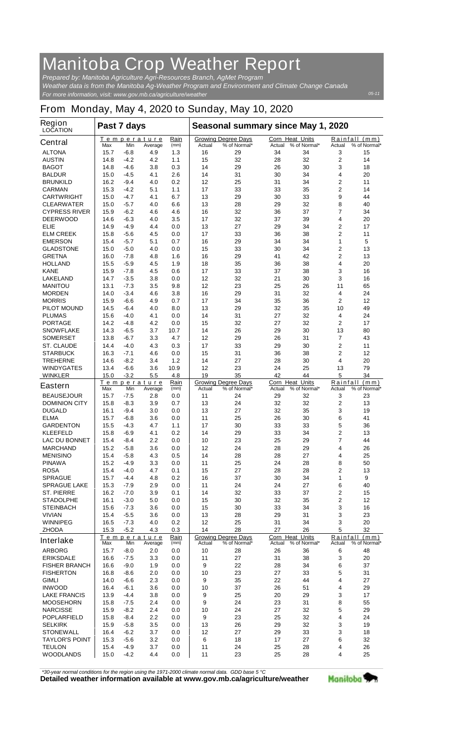## **Manitoba Crop Weather Report**

*For more information, visit: www.gov.mb.ca/agriculture/weather Prepared by: Manitoba Agriculture Agri-Resources Branch, AgMet Program Weather data is from the Manitoba Ag-Weather Program and Environment and Climate Change Canada*

## **From Monday, May 4, 2020 to Sunday, May 10, 2020**

| <b>Region</b><br><b>LOCATION</b>     | Past 7 days  |                  |                               |              | Seasonal summary since May 1, 2020 |                                            |                                  |              |                   |                               |
|--------------------------------------|--------------|------------------|-------------------------------|--------------|------------------------------------|--------------------------------------------|----------------------------------|--------------|-------------------|-------------------------------|
| <b>Central</b>                       | Max          | Min              | <u>Temperature</u><br>Average | Rain<br>(mm) | Actual                             | <b>Growing Degree Days</b><br>% of Normal* | <b>Corn Heat Units</b><br>Actual | % of Normal* | Actual            | Rainfall (mm)<br>% of Normal* |
| <b>ALTONA</b>                        | 15.7         | -6.8             | 4.9                           | 1.3          | 16                                 | 29                                         | 34                               | 34           | 3                 | 15                            |
| <b>AUSTIN</b>                        | 14.8         | $-4.2$           | 4.2                           | 1.1          | 15                                 | 32                                         | 28                               | 32           | $\overline{2}$    | 14                            |
| <b>BAGOT</b>                         | 14.8         | -4.6             | 3.8                           | 0.3          | 14                                 | 29                                         | 26                               | 30           | 3                 | 18                            |
| <b>BALDUR</b>                        | 15.0         | -4.5             | 4.1                           | 2.6          | 14                                 | 31                                         | 30                               | 34           | 4                 | 20                            |
| <b>BRUNKILD</b>                      | 16.2         | -9.4             | 4.0                           | 0.2          | 12                                 | 25                                         | 31                               | 34           | $\overline{2}$    | 11                            |
| <b>CARMAN</b>                        | 15.3         | $-4.2$           | 5.1                           | 1.1          | 17                                 | 33                                         | 33                               | 35           | $\overline{2}$    | 14                            |
| <b>CARTWRIGHT</b>                    | 15.0         | $-4.7$           | 4.1                           | 6.7          | 13                                 | 29                                         | 30                               | 33           | 9                 | 44                            |
| <b>CLEARWATER</b>                    | 15.0         | $-5.7$           | 4.0                           | 6.6          | 13                                 | 28                                         | 29                               | 32           | 8                 | 40                            |
| <b>CYPRESS RIVER</b>                 | 15.9<br>14.6 | $-6.2$<br>-6.3   | 4.6<br>4.0                    | 4.6          | 16<br>17                           | 32<br>32                                   | 36<br>37                         | 37<br>39     | 7<br>4            | 34                            |
| <b>DEERWOOD</b><br>ELIE              | 14.9         | $-4.9$           | 4.4                           | 3.5<br>0.0   | 13                                 | 27                                         | 29                               | 34           | $\mathbf{2}$      | 20<br>17                      |
| <b>ELM CREEK</b>                     | 15.8         | $-5.6$           | 4.5                           | 0.0          | 17                                 | 33                                         | 36                               | 38           | $\mathbf{2}$      | 11                            |
| <b>EMERSON</b>                       | 15.4         | -5.7             | 5.1                           | 0.7          | 16                                 | 29                                         | 34                               | 34           | 1                 | 5                             |
| <b>GLADSTONE</b>                     | 15.0         | -5.0             | 4.0                           | 0.0          | 15                                 | 33                                         | 30                               | 34           | $\mathbf{2}$      | 13                            |
| <b>GRETNA</b>                        | 16.0         | -7.8             | 4.8                           | 1.6          | 16                                 | 29                                         | 41                               | 42           | $\mathbf{2}$      | 13                            |
| <b>HOLLAND</b>                       | 15.5         | $-5.9$           | 4.5                           | 1.9          | 18                                 | 35                                         | 36                               | 38           | 4                 | 20                            |
| <b>KANE</b>                          | 15.9         | -7.8             | 4.5                           | 0.6          | 17                                 | 33                                         | 37                               | 38           | 3                 | 16                            |
| <b>LAKELAND</b>                      | 14.7         | $-3.5$           | 3.8                           | 0.0          | 12                                 | 32                                         | 21                               | 30           | 3                 | 16                            |
| <b>MANITOU</b>                       | 13.1         | -7.3             | 3.5                           | 9.8          | 12                                 | 23                                         | 25                               | 26           | 11                | 65                            |
| <b>MORDEN</b>                        | 14.0         | $-3.4$           | 4.6                           | 3.8          | 16                                 | 29                                         | 31                               | 32           | 4                 | 24                            |
| <b>MORRIS</b>                        | 15.9         | -6.6             | 4.9                           | 0.7          | 17                                 | 34                                         | 35                               | 36           | $\mathbf{2}$      | 12                            |
| <b>PILOT MOUND</b>                   | 14.5         | $-6.4$           | 4.0                           | 8.0          | 13                                 | 29                                         | 32                               | 35           | 10                | 49                            |
| <b>PLUMAS</b>                        | 15.6         | $-4.0$           | 4.1                           | 0.0          | 14                                 | 31                                         | 27                               | 32           | 4                 | 24                            |
| <b>PORTAGE</b>                       | 14.2         | $-4.8$           | 4.2                           | 0.0          | 15                                 | 32                                         | 27                               | 32           | $\mathbf 2$       | 17                            |
| <b>SNOWFLAKE</b><br><b>SOMERSET</b>  | 14.3<br>13.8 | $-6.5$<br>-6.7   | 3.7<br>3.3                    | 10.7<br>4.7  | 14<br>12                           | 26<br>29                                   | 29<br>26                         | 30<br>31     | 13<br>7           | 80<br>43                      |
| <b>ST. CLAUDE</b>                    | 14.4         | -4.0             | 4.3                           | 0.3          | 17                                 | 33                                         | 29                               | 30           | $\mathbf 2$       | 11                            |
| <b>STARBUCK</b>                      | 16.3         | -7.1             | 4.6                           | 0.0          | 15                                 | 31                                         | 36                               | 38           | 2                 | 12                            |
| <b>TREHERNE</b>                      | 14.6         | $-8.2$           | 3.4                           | 1.2          | 14                                 | 27                                         | 28                               | 30           | 4                 | 20                            |
| <b>WINDYGATES</b>                    | 13.4         | -6.6             | 3.6                           | 10.9         | 12                                 | 23                                         | 24                               | 25           | 13                | 79                            |
| <b>WINKLER</b>                       | 15.0         | $-3.2$           | 5.5                           | 4.8          | 19                                 | 35                                         | 42                               | 44           | 5                 | 34                            |
| <b>Eastern</b>                       |              |                  | Temperature                   | Rain         |                                    | <b>Growing Degree Days</b>                 | Corn Heat Units                  |              |                   | Rainfall (mm)                 |
|                                      | Max          | Min              | Average                       | (mm)         | Actual                             | % of Normal*                               | Actual                           | % of Normal* | Actual            | % of Normal*                  |
| <b>BEAUSEJOUR</b>                    | 15.7         | -7.5             | 2.8                           | 0.0          | 11                                 | 24                                         | 29                               | 32           | 3                 | 23                            |
| <b>DOMINION CITY</b>                 | 15.8         | $-8.3$           | 3.9<br>3.0                    | 0.7<br>0.0   | 13<br>13                           | 24<br>27                                   | 32<br>32                         | 32<br>35     | $\mathbf{2}$<br>3 | 13<br>19                      |
| <b>DUGALD</b><br><b>ELMA</b>         | 16.1<br>15.7 | -9.4<br>$-6.8$   | 3.6                           | 0.0          | 11                                 | 25                                         | 26                               | 30           | 6                 | 41                            |
| <b>GARDENTON</b>                     | 15.5         | $-4.3$           | 4.7                           | 1.1          | 17                                 | 30                                         | 33                               | 33           | 5                 | 36                            |
| <b>KLEEFELD</b>                      | 15.8         | -6.9             | 4.1                           | 0.2          | 14                                 | 29                                         | 33                               | 34           | 2                 | 13                            |
| <b>LAC DU BONNET</b>                 | 15.4         | $-8.4$           | 2.2                           | 0.0          | 10                                 | 23                                         | 25                               | 29           | 7                 | 44                            |
| <b>MARCHAND</b>                      | 15.2         | $-5.8$           | 3.6                           | 0.0          | 12                                 | 24                                         | 28                               | 29           | 4                 | 26                            |
| <b>MENISINO</b>                      | 15.4         | $-5.8$           | 4.3                           | 0.5          | 14                                 | 28                                         | 28                               | 27           | 4                 | 25                            |
| <b>PINAWA</b>                        | 15.2         | $-4.9$           | 3.3                           | 0.0          | 11                                 | 25                                         | 24                               | 28           | 8                 | 50                            |
| <b>ROSA</b>                          | 15.4         | $-4.0$           | 4.7                           | 0.1          | 15                                 | 27                                         | 28                               | 28           | 2                 | 13                            |
| <b>SPRAGUE</b>                       | 15.7         | -4.4             | 4.8                           | 0.2          | 16                                 | 37                                         | 30                               | 34           | 1                 | 9                             |
| <b>SPRAGUE LAKE</b>                  | 15.3         | $-7.9$           | 2.9                           | 0.0          | 11                                 | 24                                         | 24                               | 27           | 6                 | 40                            |
| <b>ST. PIERRE</b>                    | 16.2         | -7.0             | 3.9                           | 0.1          | 14                                 | 32                                         | 33                               | 37           | 2                 | 15                            |
| <b>STADOLPHE</b>                     | 16.1         | $-3.0$           | 5.0                           | 0.0          | 15                                 | 30                                         | 32                               | 35           | 2                 | 12                            |
| <b>STEINBACH</b>                     | 15.6         | -7.3             | 3.6                           | 0.0          | 15                                 | 30                                         | 33                               | 34           | 3                 | 16                            |
| <b>VIVIAN</b><br><b>WINNIPEG</b>     | 15.4<br>16.5 | $-5.5$<br>$-7.3$ | 3.6<br>4.0                    | 0.0<br>0.2   | 13<br>12                           | 28<br>25                                   | 29<br>31                         | 31<br>34     | 3<br>3            | 23<br>20                      |
| <b>ZHODA</b>                         | 15.3         | $-5.2$           | 4.3                           | 0.3          | 14                                 | 28                                         | 27                               | 26           | 5                 | 32                            |
|                                      |              |                  | Temperature                   | Rain         |                                    | <b>Growing Degree Days</b>                 | Corn Heat Units                  |              |                   | Rainfall (mm)                 |
| <b>Interlake</b>                     | Max          | Min              | Average                       | (mm)         | Actual                             | % of Normal*                               | Actual                           | % of Normal* | Actual            | % of Normal*                  |
| <b>ARBORG</b>                        | 15.7         | $-8.0$           | 2.0                           | 0.0          | 10                                 | 28                                         | 26                               | 36           | 6                 | 48                            |
| <b>ERIKSDALE</b>                     | 16.6         | $-7.5$           | 3.3                           | 0.0          | 11                                 | 27                                         | 31                               | 38           | 3                 | 20                            |
| <b>FISHER BRANCH</b>                 | 16.6         | -9.0             | 1.9                           | 0.0          | 9                                  | 22                                         | 28                               | 34           | 6                 | 37                            |
| <b>FISHERTON</b>                     | 16.8         | $-8.6$           | 2.0                           | 0.0          | 10                                 | 23                                         | 27                               | 33           | 5                 | 31                            |
| <b>GIMLI</b>                         | 14.0         | $-6.6$           | 2.3                           | 0.0          | 9                                  | 35                                         | 22                               | 44           | 4                 | 27                            |
| <b>INWOOD</b><br><b>LAKE FRANCIS</b> | 16.4<br>13.9 | -6.1<br>-4.4     | 3.6<br>3.8                    | 0.0<br>0.0   | 10                                 | 37<br>25                                   | 26<br>20                         | 51<br>29     | 4<br>3            | 29<br>17                      |
| <b>MOOSEHORN</b>                     | 15.8         | -7.5             | 2.4                           | 0.0          | 9<br>9                             | 24                                         | 23                               | 31           | 8                 | 55                            |
| <b>NARCISSE</b>                      | 15.9         | $-8.2$           | 2.4                           | 0.0          | 10                                 | 24                                         | 27                               | 32           | 5                 | 29                            |
| <b>POPLARFIELD</b>                   | 15.8         | -8.4             | 2.2                           | 0.0          | 9                                  | 23                                         | 25                               | 32           | 4                 | 24                            |
| <b>SELKIRK</b>                       | 15.9         | $-5.8$           | 3.5                           | 0.0          | 13                                 | 26                                         | 29                               | 32           | 3                 | 19                            |
| <b>STONEWALL</b>                     | 16.4         | $-6.2$           | 3.7                           | 0.0          | 12                                 | 27                                         | 29                               | 33           | 3                 | 18                            |
| <b>TAYLOR'S POINT</b>                | 15.3         | -5.6             | 3.2                           | 0.0          | 6                                  | 18                                         | 17                               | 27           | 6                 | 32                            |
| <b>TEULON</b>                        | 15.4         | $-4.9$           | 3.7                           | 0.0          | 11                                 | 24                                         | 25                               | 28           | 4                 | 26                            |
| <b>WOODLANDS</b>                     | 15.0         | $-4.2$           | 4.4                           | 0.0          | 11                                 | 23                                         | 25                               | 28           | 4                 | 25                            |

*\*30-year normal conditions for the region using the 1971-2000 climate normal data. GDD base 5 °C*<br>Detailed weather information available at www.gov.mb.ca/agriculture/weather